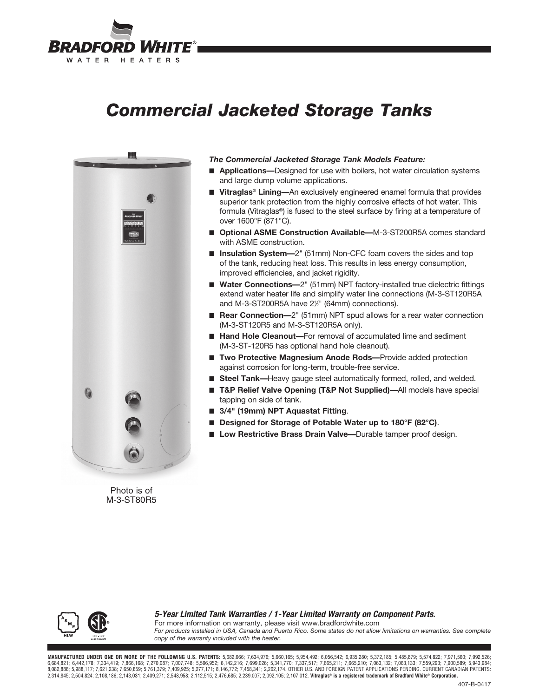

# *Commercial Jacketed Storage Tanks*



Photo is of M-3-ST80R5

### *The Commercial Jacketed Storage Tank Models Feature:*

- **Applications**—Designed for use with boilers, hot water circulation systems and large dump volume applications.
- **Vitraglas<sup>®</sup> Lining—**An exclusively engineered enamel formula that provides superior tank protection from the highly corrosive effects of hot water. This formula (Vitraglas®) is fused to the steel surface by firing at a temperature of over 1600°F (871°C).
- **Optional ASME Construction Available—M-3-ST200R5A comes standard** with ASME construction.
- **Insulation System**—2<sup>"</sup> (51mm) Non-CFC foam covers the sides and top of the tank, reducing heat loss. This results in less energy consumption, improved efficiencies, and jacket rigidity.
- Water Connections-2<sup>"</sup> (51mm) NPT factory-installed true dielectric fittings extend water heater life and simplify water line connections (M-3-ST120R5A and M-3-ST200R5A have 2<sup>1/2</sup>" (64mm) connections).
- **Rear Connection**—2<sup>"</sup> (51mm) NPT spud allows for a rear water connection (M-3-ST120R5 and M-3-ST120R5A only).
- **Hand Hole Cleanout**—For removal of accumulated lime and sediment (M-3-ST-120R5 has optional hand hole cleanout).
- **Two Protective Magnesium Anode Rods**—Provide added protection against corrosion for long-term, trouble-free service.
- **Steel Tank—**Heavy gauge steel automatically formed, rolled, and welded.
- **T&P Relief Valve Opening (T&P Not Supplied)—All models have special** tapping on side of tank.
- **3/4" (19mm) NPT Aquastat Fitting.**
- **Designed for Storage of Potable Water up to 180°F (82°C).**
- Low Restrictive Brass Drain Valve—Durable tamper proof design.



*5-Year Limited Tank Warranties / 1-Year Limited Warranty on Component Parts.* For more information on warranty, please visit www.bradfordwhite.com *For products installed in USA, Canada and Puerto Rico. Some states do not allow limitations on warranties. See complete* 

*copy of the warranty included with the heater.*

**MANUFACTURED UNDER ONE OR MORE OF THE FOLLOWING U.S. PATENTS:** 5,682,666; 7,634,976; 5,660,165; 5,954,492; 6,056,542; 6,935,280; 5,372,185; 5,485,879; 5,574,822; 7,971,560; 7,992,526; 6,684,821; 6,442,178; 7,334,419; 7,866,168; 7,270,087; 7,007,748; 5,596,952; 6,142,216; 7,699,026; 5,341,770; 7,337,517; 7,665,211; 7,665,210; 7,063,132; 7,063,132; 7,559,293; 7,559,293; 7,900,589; 5,943,984; 5,988,117; 7, 2,314,845; 2,504,824; 2,108,186; 2,143,031; 2,409,271; 2,548,958; 2,112,515; 2,476,685; 2,239,007; 2,092,105; 2,107,012. **Vitraglas® is a registered trademark of Bradford White® Corporation.**